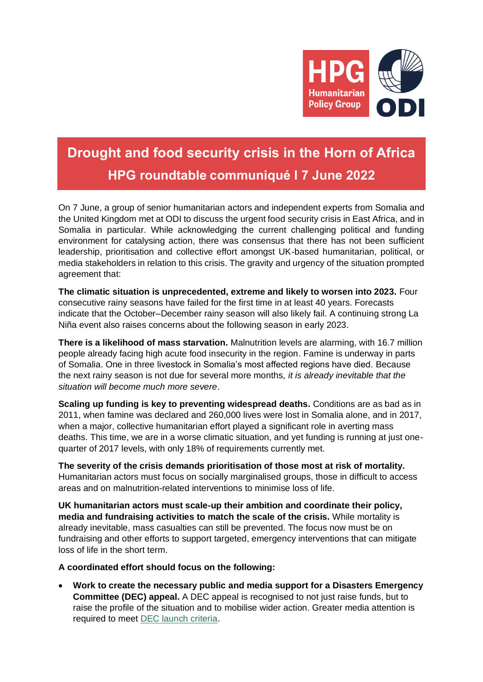

## **Drought and food security crisis in the Horn of Africa HPG roundtable communiqué l 7 June 2022**

On 7 June, a group of senior humanitarian actors and independent experts from Somalia and the United Kingdom met at ODI to discuss the urgent food security crisis in East Africa, and in Somalia in particular. While acknowledging the current challenging political and funding environment for catalysing action, there was consensus that there has not been sufficient leadership, prioritisation and collective effort amongst UK-based humanitarian, political, or media stakeholders in relation to this crisis. The gravity and urgency of the situation prompted agreement that:

**The climatic situation is unprecedented, extreme and likely to worsen into 2023.** Four consecutive rainy seasons have failed for the first time in at least 40 years. Forecasts indicate that the October–December rainy season will also likely fail. A continuing strong La Niña event also raises concerns about the following season in early 2023.

**There is a likelihood of mass starvation.** Malnutrition levels are alarming, with 16.7 million people already facing high acute food insecurity in the region. Famine is underway in parts of Somalia. One in three livestock in Somalia's most affected regions have died. Because the next rainy season is not due for several more months*, it is already inevitable that the situation will become much more severe*.

**Scaling up funding is key to preventing widespread deaths.** Conditions are as bad as in 2011, when famine was declared and 260,000 lives were lost in Somalia alone, and in 2017, when a major, collective humanitarian effort played a significant role in averting mass deaths. This time, we are in a worse climatic situation, and yet funding is running at just onequarter of 2017 levels, with only 18% of requirements currently met.

**The severity of the crisis demands prioritisation of those most at risk of mortality.**  Humanitarian actors must focus on socially marginalised groups, those in difficult to access areas and on malnutrition-related interventions to minimise loss of life.

**UK humanitarian actors must scale-up their ambition and coordinate their policy, media and fundraising activities to match the scale of the crisis.** While mortality is already inevitable, mass casualties can still be prevented. The focus now must be on fundraising and other efforts to support targeted, emergency interventions that can mitigate loss of life in the short term.

**A coordinated effort should focus on the following:** 

• **Work to create the necessary public and media support for a Disasters Emergency Committee (DEC) appeal.** A DEC appeal is recognised to not just raise funds, but to raise the profile of the situation and to mobilise wider action. Greater media attention is required to meet [DEC launch criteria.](https://protect-eu.mimecast.com/s/41j_CW7lYf15Ljc6aasL?domain=dec.org.uk)